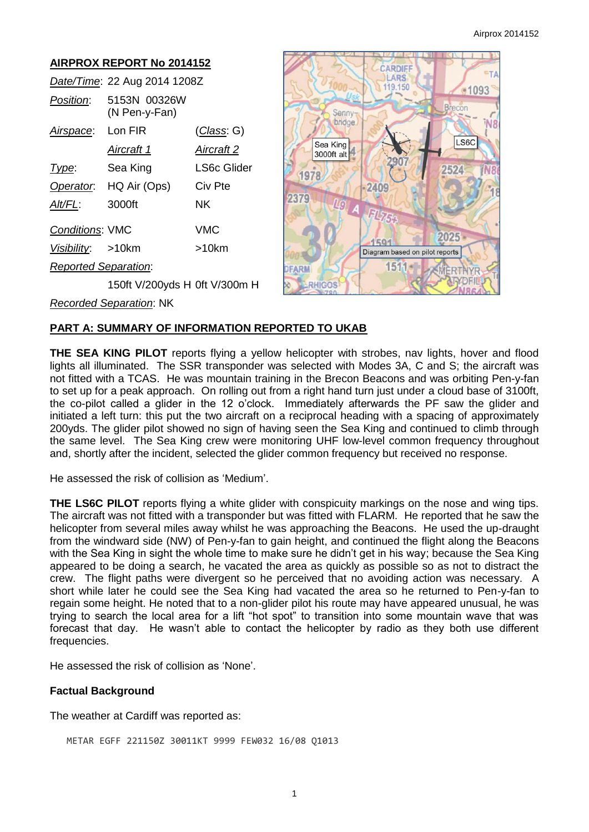#### **AIRPROX REPORT No 2014152**  CARDIEF LARS *Date/Time*: 22 Aug 2014 1208Z 119.150 *Position*: 5153N 00326W (N Pen-y-Fan) Senny bridge *Airspace*: Lon FIR (*Class*: G) Sea King *Aircraft 1 Aircraft 2* 3000ft alt *Type*: Sea King LS6c Glider 1978 *Operator*: HQ Air (Ops) Civ Pte 2409 2379 *Alt/FL*: 3000ft NK ЦO *Conditions*: VMC VMC  $1501$ *Visibility*: >10km >10km *Reported Separation*: 1511 FARM **RHIGOS** 150ft V/200yds H 0ft V/300m H

# ·1093  $\overline{a}$ econ LS6C 524 2025 Diagram based on pilot reports RT

*Recorded Separation*: NK

## **PART A: SUMMARY OF INFORMATION REPORTED TO UKAB**

**THE SEA KING PILOT** reports flying a yellow helicopter with strobes, nav lights, hover and flood lights all illuminated. The SSR transponder was selected with Modes 3A, C and S; the aircraft was not fitted with a TCAS. He was mountain training in the Brecon Beacons and was orbiting Pen-y-fan to set up for a peak approach. On rolling out from a right hand turn just under a cloud base of 3100ft, the co-pilot called a glider in the 12 o'clock. Immediately afterwards the PF saw the glider and initiated a left turn: this put the two aircraft on a reciprocal heading with a spacing of approximately 200yds. The glider pilot showed no sign of having seen the Sea King and continued to climb through the same level. The Sea King crew were monitoring UHF low-level common frequency throughout and, shortly after the incident, selected the glider common frequency but received no response.

He assessed the risk of collision as 'Medium'.

**THE LS6C PILOT** reports flying a white glider with conspicuity markings on the nose and wing tips. The aircraft was not fitted with a transponder but was fitted with FLARM. He reported that he saw the helicopter from several miles away whilst he was approaching the Beacons. He used the up-draught from the windward side (NW) of Pen-y-fan to gain height, and continued the flight along the Beacons with the Sea King in sight the whole time to make sure he didn't get in his way; because the Sea King appeared to be doing a search, he vacated the area as quickly as possible so as not to distract the crew. The flight paths were divergent so he perceived that no avoiding action was necessary. A short while later he could see the Sea King had vacated the area so he returned to Pen-y-fan to regain some height. He noted that to a non-glider pilot his route may have appeared unusual, he was trying to search the local area for a lift "hot spot" to transition into some mountain wave that was forecast that day. He wasn't able to contact the helicopter by radio as they both use different frequencies.

He assessed the risk of collision as 'None'.

### **Factual Background**

The weather at Cardiff was reported as:

METAR EGFF 221150Z 30011KT 9999 FEW032 16/08 Q1013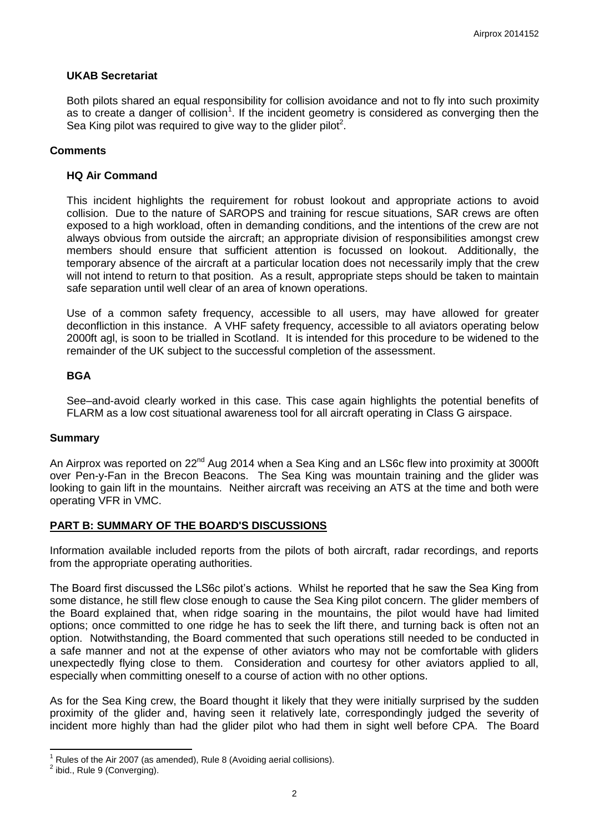#### **UKAB Secretariat**

Both pilots shared an equal responsibility for collision avoidance and not to fly into such proximity as to create a danger of collision<sup>1</sup>. If the incident geometry is considered as converging then the Sea King pilot was required to give way to the glider pilot<sup>2</sup>.

#### **Comments**

#### **HQ Air Command**

This incident highlights the requirement for robust lookout and appropriate actions to avoid collision. Due to the nature of SAROPS and training for rescue situations, SAR crews are often exposed to a high workload, often in demanding conditions, and the intentions of the crew are not always obvious from outside the aircraft; an appropriate division of responsibilities amongst crew members should ensure that sufficient attention is focussed on lookout. Additionally, the temporary absence of the aircraft at a particular location does not necessarily imply that the crew will not intend to return to that position. As a result, appropriate steps should be taken to maintain safe separation until well clear of an area of known operations.

Use of a common safety frequency, accessible to all users, may have allowed for greater deconfliction in this instance. A VHF safety frequency, accessible to all aviators operating below 2000ft agl, is soon to be trialled in Scotland. It is intended for this procedure to be widened to the remainder of the UK subject to the successful completion of the assessment.

#### **BGA**

See–and-avoid clearly worked in this case. This case again highlights the potential benefits of FLARM as a low cost situational awareness tool for all aircraft operating in Class G airspace.

#### **Summary**

An Airprox was reported on 22<sup>nd</sup> Aug 2014 when a Sea King and an LS6c flew into proximity at 3000ft over Pen-y-Fan in the Brecon Beacons. The Sea King was mountain training and the glider was looking to gain lift in the mountains. Neither aircraft was receiving an ATS at the time and both were operating VFR in VMC.

#### **PART B: SUMMARY OF THE BOARD'S DISCUSSIONS**

Information available included reports from the pilots of both aircraft, radar recordings, and reports from the appropriate operating authorities.

The Board first discussed the LS6c pilot's actions. Whilst he reported that he saw the Sea King from some distance, he still flew close enough to cause the Sea King pilot concern. The glider members of the Board explained that, when ridge soaring in the mountains, the pilot would have had limited options; once committed to one ridge he has to seek the lift there, and turning back is often not an option. Notwithstanding, the Board commented that such operations still needed to be conducted in a safe manner and not at the expense of other aviators who may not be comfortable with gliders unexpectedly flying close to them. Consideration and courtesy for other aviators applied to all, especially when committing oneself to a course of action with no other options.

As for the Sea King crew, the Board thought it likely that they were initially surprised by the sudden proximity of the glider and, having seen it relatively late, correspondingly judged the severity of incident more highly than had the glider pilot who had them in sight well before CPA. The Board

 $\overline{\phantom{a}}$ 

<sup>1</sup> Rules of the Air 2007 (as amended), Rule 8 (Avoiding aerial collisions).

 $<sup>2</sup>$  ibid., Rule 9 (Converging).</sup>